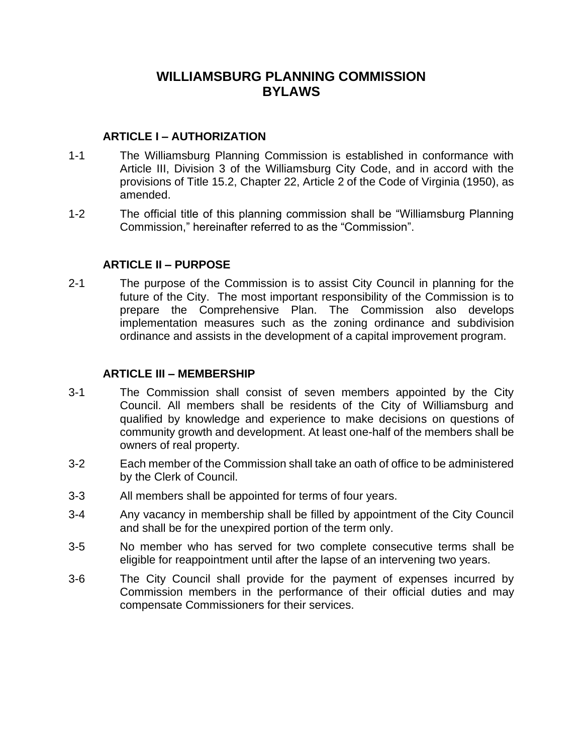# **WILLIAMSBURG PLANNING COMMISSION BYLAWS**

#### **ARTICLE I – AUTHORIZATION**

- 1-1 The Williamsburg Planning Commission is established in conformance with Article III, Division 3 of the Williamsburg City Code, and in accord with the provisions of Title 15.2, Chapter 22, Article 2 of the Code of Virginia (1950), as amended.
- 1-2 The official title of this planning commission shall be "Williamsburg Planning Commission," hereinafter referred to as the "Commission".

#### **ARTICLE II – PURPOSE**

2-1 The purpose of the Commission is to assist City Council in planning for the future of the City. The most important responsibility of the Commission is to prepare the Comprehensive Plan. The Commission also develops implementation measures such as the zoning ordinance and subdivision ordinance and assists in the development of a capital improvement program.

#### **ARTICLE III – MEMBERSHIP**

- 3-1 The Commission shall consist of seven members appointed by the City Council. All members shall be residents of the City of Williamsburg and qualified by knowledge and experience to make decisions on questions of community growth and development. At least one-half of the members shall be owners of real property.
- 3-2 Each member of the Commission shall take an oath of office to be administered by the Clerk of Council.
- 3-3 All members shall be appointed for terms of four years.
- 3-4 Any vacancy in membership shall be filled by appointment of the City Council and shall be for the unexpired portion of the term only.
- 3-5 No member who has served for two complete consecutive terms shall be eligible for reappointment until after the lapse of an intervening two years.
- 3-6 The City Council shall provide for the payment of expenses incurred by Commission members in the performance of their official duties and may compensate Commissioners for their services.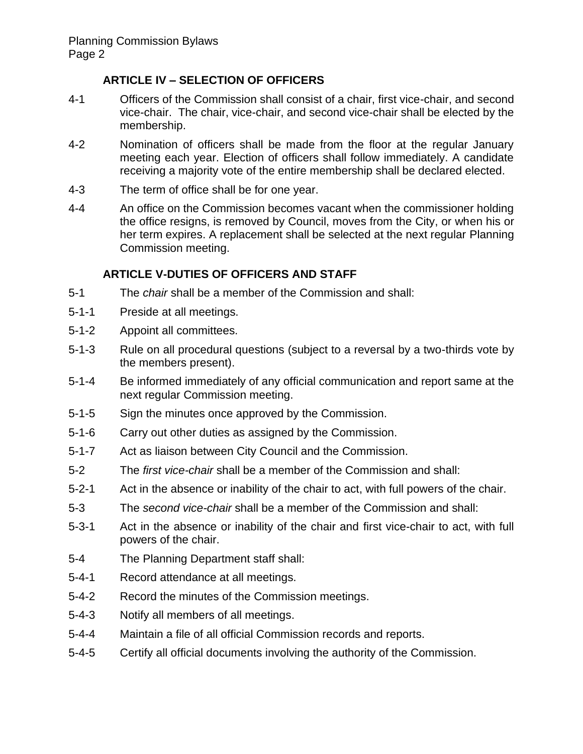# **ARTICLE IV – SELECTION OF OFFICERS**

- 4-1 Officers of the Commission shall consist of a chair, first vice-chair, and second vice-chair. The chair, vice-chair, and second vice-chair shall be elected by the membership.
- 4-2 Nomination of officers shall be made from the floor at the regular January meeting each year. Election of officers shall follow immediately. A candidate receiving a majority vote of the entire membership shall be declared elected.
- 4-3 The term of office shall be for one year.
- 4-4 An office on the Commission becomes vacant when the commissioner holding the office resigns, is removed by Council, moves from the City, or when his or her term expires. A replacement shall be selected at the next regular Planning Commission meeting.

# **ARTICLE V-DUTIES OF OFFICERS AND STAFF**

- 5-1 The *chair* shall be a member of the Commission and shall:
- 5-1-1 Preside at all meetings.
- 5-1-2 Appoint all committees.
- 5-1-3 Rule on all procedural questions (subject to a reversal by a two-thirds vote by the members present).
- 5-1-4 Be informed immediately of any official communication and report same at the next regular Commission meeting.
- 5-1-5 Sign the minutes once approved by the Commission.
- 5-1-6 Carry out other duties as assigned by the Commission.
- 5-1-7 Act as liaison between City Council and the Commission.
- 5-2 The *first vice-chair* shall be a member of the Commission and shall:
- 5-2-1 Act in the absence or inability of the chair to act, with full powers of the chair.
- 5-3 The *second vice-chair* shall be a member of the Commission and shall:
- 5-3-1 Act in the absence or inability of the chair and first vice-chair to act, with full powers of the chair.
- 5-4 The Planning Department staff shall:
- 5-4-1 Record attendance at all meetings.
- 5-4-2 Record the minutes of the Commission meetings.
- 5-4-3 Notify all members of all meetings.
- 5-4-4 Maintain a file of all official Commission records and reports.
- 5-4-5 Certify all official documents involving the authority of the Commission.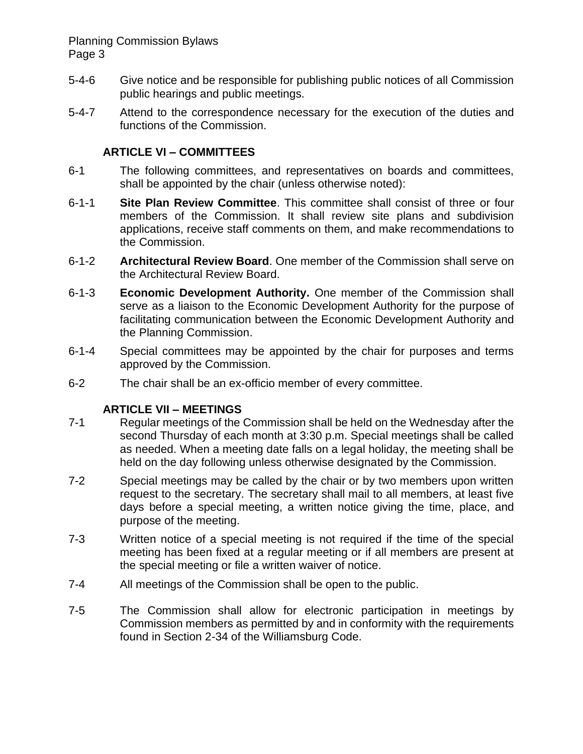#### Planning Commission Bylaws Page 3

- 5-4-6 Give notice and be responsible for publishing public notices of all Commission public hearings and public meetings.
- 5-4-7 Attend to the correspondence necessary for the execution of the duties and functions of the Commission.

#### **ARTICLE VI – COMMITTEES**

- 6-1 The following committees, and representatives on boards and committees, shall be appointed by the chair (unless otherwise noted):
- 6-1-1 **Site Plan Review Committee**. This committee shall consist of three or four members of the Commission. It shall review site plans and subdivision applications, receive staff comments on them, and make recommendations to the Commission.
- 6-1-2 **Architectural Review Board**. One member of the Commission shall serve on the Architectural Review Board.
- 6-1-3 **Economic Development Authority.** One member of the Commission shall serve as a liaison to the Economic Development Authority for the purpose of facilitating communication between the Economic Development Authority and the Planning Commission.
- 6-1-4 Special committees may be appointed by the chair for purposes and terms approved by the Commission.
- 6-2 The chair shall be an ex-officio member of every committee.

#### **ARTICLE VII – MEETINGS**

- 7-1 Regular meetings of the Commission shall be held on the Wednesday after the second Thursday of each month at 3:30 p.m. Special meetings shall be called as needed. When a meeting date falls on a legal holiday, the meeting shall be held on the day following unless otherwise designated by the Commission.
- 7-2 Special meetings may be called by the chair or by two members upon written request to the secretary. The secretary shall mail to all members, at least five days before a special meeting, a written notice giving the time, place, and purpose of the meeting.
- 7-3 Written notice of a special meeting is not required if the time of the special meeting has been fixed at a regular meeting or if all members are present at the special meeting or file a written waiver of notice.
- 7-4 All meetings of the Commission shall be open to the public.
- 7-5 The Commission shall allow for electronic participation in meetings by Commission members as permitted by and in conformity with the requirements found in Section 2-34 of the Williamsburg Code.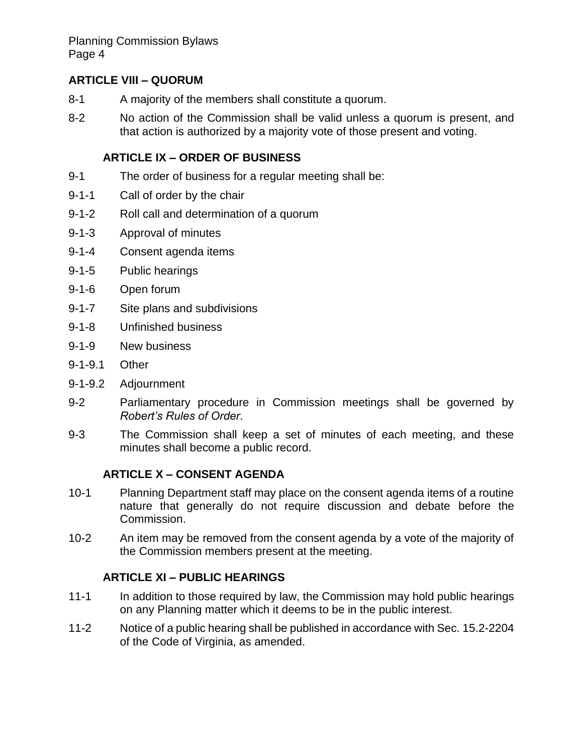# **ARTICLE VIII – QUORUM**

- 8-1 A majority of the members shall constitute a quorum.
- 8-2 No action of the Commission shall be valid unless a quorum is present, and that action is authorized by a majority vote of those present and voting.

# **ARTICLE IX – ORDER OF BUSINESS**

- 9-1 The order of business for a regular meeting shall be:
- 9-1-1 Call of order by the chair
- 9-1-2 Roll call and determination of a quorum
- 9-1-3 Approval of minutes
- 9-1-4 Consent agenda items
- 9-1-5 Public hearings
- 9-1-6 Open forum
- 9-1-7 Site plans and subdivisions
- 9-1-8 Unfinished business
- 9-1-9 New business
- 9-1-9.1 Other
- 9-1-9.2 Adjournment
- 9-2 Parliamentary procedure in Commission meetings shall be governed by *Robert's Rules of Order*.
- 9-3 The Commission shall keep a set of minutes of each meeting, and these minutes shall become a public record.

# **ARTICLE X – CONSENT AGENDA**

- 10-1 Planning Department staff may place on the consent agenda items of a routine nature that generally do not require discussion and debate before the Commission.
- 10-2 An item may be removed from the consent agenda by a vote of the majority of the Commission members present at the meeting.

# **ARTICLE XI – PUBLIC HEARINGS**

- 11-1 In addition to those required by law, the Commission may hold public hearings on any Planning matter which it deems to be in the public interest.
- 11-2 Notice of a public hearing shall be published in accordance with Sec. 15.2-2204 of the Code of Virginia, as amended.